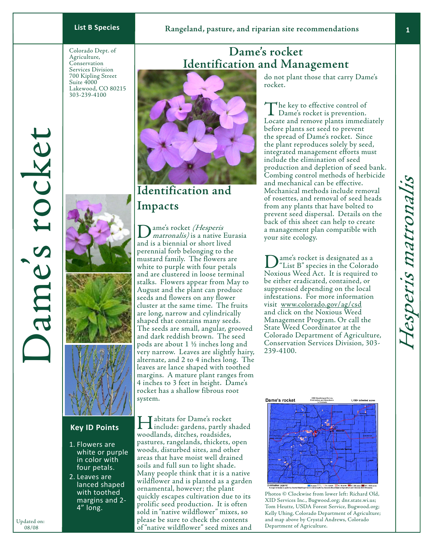Colorado Dept. of Agriculture, Conservation Services Division 700 Kipling Street Suite 4000 Lakewood, CO 80215 303-239-4100





## **Key ID Points**

- 1. Flowers are white or purple in color with four petals.
- 2. Leaves are lanced shaped with toothed margins and 2- 4" long.

# **Dame's rocket Identification and Management**



# **Identification and Impacts**

ame's rocket *(Hesperis* matronalis) is a native Eurasia and is a biennial or short lived perennial forb belonging to the mustard family. The flowers are white to purple with four petals and are clustered in loose terminal stalks. Flowers appear from May to August and the plant can produce seeds and flowers on any flower cluster at the same time. The fruits are long, narrow and cylindrically shaped that contains many seeds. The seeds are small, angular, grooved and dark reddish brown. The seed pods are about 1 ½ inches long and very narrow. Leaves are slightly hairy, alternate, and 2 to 4 inches long. The leaves are lance shaped with toothed margins. A mature plant ranges from 4 inches to 3 feet in height. Dame's rocket has a shallow fibrous root system.

Department once the Content of Agriculture.<br>
OB/08 of "native wildflower" seed mixes and Department of Agriculture. Habitats for Dame's rocket include: gardens, partly shaded woodlands, ditches, roadsides, pastures, rangelands, thickets, open woods, disturbed sites, and other areas that have moist well drained soils and full sun to light shade. Many people think that it is a native wildflower and is planted as a garden ornamental, however; the plant quickly escapes cultivation due to its prolific seed production. It is often sold in "native wildflower" mixes, so please be sure to check the contents

do not plant those that carry Dame's rocket.

The key to effective control of<br>Dame's rocket is prevention. Locate and remove plants immediately before plants set seed to prevent the spread of Dame's rocket. Since the plant reproduces solely by seed, integrated management efforts must include the elimination of seed production and depletion of seed bank. Combing control methods of herbicide and mechanical can be effective. Mechanical methods include removal of rosettes, and removal of seed heads from any plants that have bolted to prevent seed dispersal. Details on the back of this sheet can help to create a management plan compatible with your site ecology.

ame's rocket is designated as a "List B" species in the Colorado Noxious Weed Act. It is required to be either eradicated, contained, or suppressed depending on the local infestations. For more information visit www.colorado.gov/ag/csd and click on the Noxious Weed Management Program. Or call the State Weed Coordinator at the Colorado Department of Agriculture, Conservation Services Division, 303- 239-4100.



Photos © Clockwise from lower left: Richard Old, XID Services Inc., Bugwood.org; dnr.state.wi.us; Tom Heutte, USDA Forest Service, Bugwood.org; Kelly Uhing, Colorado Department of Agriculture; and map above by Crystal Andrews, Colorado

Dame's rocket

ames rocke